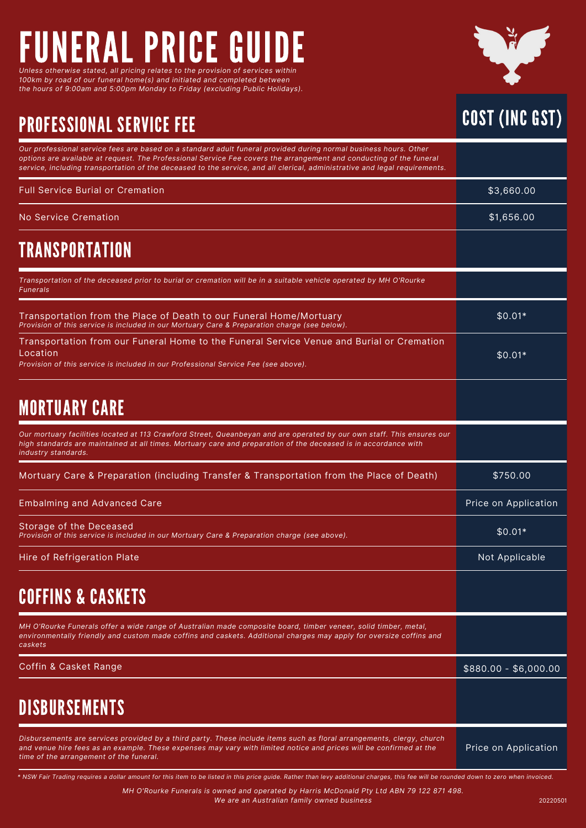## FUNERAL PRICE GUIDE *Unless otherwise stated, all pricing relates to the provision of services within*

*100km by road of our funeral home(s) and initiated and completed between the hours of 9:00am and 5:00pm Monday to Friday (excluding Public Holidays).*

## PROFESSIONAL SERVICE FEE



| Our professional service fees are based on a standard adult funeral provided during normal business hours. Other<br>options are available at request. The Professional Service Fee covers the arrangement and conducting of the funeral<br>service, including transportation of the deceased to the service, and all clerical, administrative and legal requirements. |                       |
|-----------------------------------------------------------------------------------------------------------------------------------------------------------------------------------------------------------------------------------------------------------------------------------------------------------------------------------------------------------------------|-----------------------|
| <b>Full Service Burial or Cremation</b>                                                                                                                                                                                                                                                                                                                               | \$3,660.00            |
| No Service Cremation                                                                                                                                                                                                                                                                                                                                                  | \$1,656.00            |
| <b>TRANSPORTATION</b>                                                                                                                                                                                                                                                                                                                                                 |                       |
| Transportation of the deceased prior to burial or cremation will be in a suitable vehicle operated by MH O'Rourke<br><b>Funerals</b>                                                                                                                                                                                                                                  |                       |
| Transportation from the Place of Death to our Funeral Home/Mortuary<br>Provision of this service is included in our Mortuary Care & Preparation charge (see below).                                                                                                                                                                                                   | $$0.01*$              |
| Transportation from our Funeral Home to the Funeral Service Venue and Burial or Cremation<br>Location<br>Provision of this service is included in our Professional Service Fee (see above).                                                                                                                                                                           | $$0.01*$              |
| <b>MORTUARY CARE</b>                                                                                                                                                                                                                                                                                                                                                  |                       |
| Our mortuary facilities located at 113 Crawford Street, Queanbeyan and are operated by our own staff. This ensures our<br>high standards are maintained at all times. Mortuary care and preparation of the deceased is in accordance with<br>industry standards.                                                                                                      |                       |
| Mortuary Care & Preparation (including Transfer & Transportation from the Place of Death)                                                                                                                                                                                                                                                                             | \$750.00              |
| <b>Embalming and Advanced Care</b>                                                                                                                                                                                                                                                                                                                                    | Price on Application  |
| Storage of the Deceased<br>Provision of this service is included in our Mortuary Care & Preparation charge (see above).                                                                                                                                                                                                                                               | $$0.01*$              |
| Hire of Refrigeration Plate                                                                                                                                                                                                                                                                                                                                           | Not Applicable        |
| <b>COFFINS &amp; CASKETS</b>                                                                                                                                                                                                                                                                                                                                          |                       |
| MH O'Rourke Funerals offer a wide range of Australian made composite board, timber veneer, solid timber, metal,<br>environmentally friendly and custom made coffins and caskets. Additional charges may apply for oversize coffins and<br>caskets                                                                                                                     |                       |
| Coffin & Casket Range                                                                                                                                                                                                                                                                                                                                                 | $$880.00 - $6,000.00$ |
| <b>DISBURSEMENTS</b>                                                                                                                                                                                                                                                                                                                                                  |                       |
| Disbursements are services provided by a third party. These include items such as floral arrangements, clergy, church<br>and venue hire fees as an example. These expenses may vary with limited notice and prices will be confirmed at the                                                                                                                           | Price on Application  |

\* NSW Fair Trading requires a dollar amount for this item to be listed in this price guide. Rather than levy additional charges, this fee will be rounded down to zero when invoiced.

*MH O'Rourke Funerals is owned and operated by Harris McDonald Pty Ltd ABN 79 122 871 498. We are an Australian family owned business*